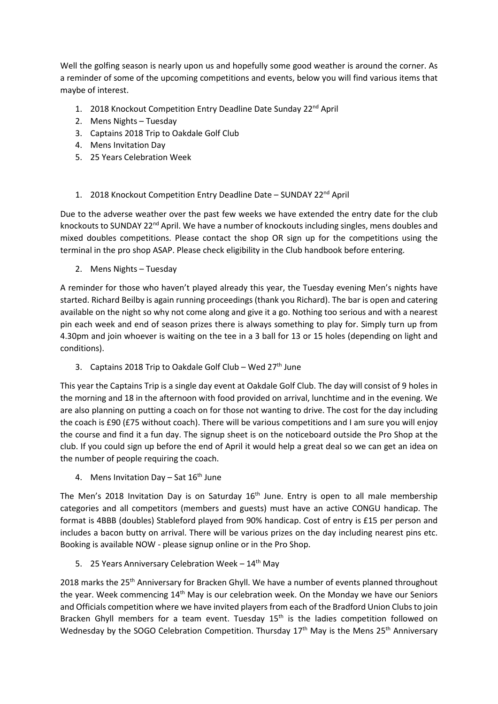Well the golfing season is nearly upon us and hopefully some good weather is around the corner. As a reminder of some of the upcoming competitions and events, below you will find various items that maybe of interest.

- 1. 2018 Knockout Competition Entry Deadline Date Sunday 22<sup>nd</sup> April
- 2. Mens Nights Tuesday
- 3. Captains 2018 Trip to Oakdale Golf Club
- 4. Mens Invitation Day
- 5. 25 Years Celebration Week
- 1. 2018 Knockout Competition Entry Deadline Date SUNDAY 22<sup>nd</sup> April

Due to the adverse weather over the past few weeks we have extended the entry date for the club knockouts to SUNDAY 22<sup>nd</sup> April. We have a number of knockouts including singles, mens doubles and mixed doubles competitions. Please contact the shop OR sign up for the competitions using the terminal in the pro shop ASAP. Please check eligibility in the Club handbook before entering.

2. Mens Nights – Tuesday

A reminder for those who haven't played already this year, the Tuesday evening Men's nights have started. Richard Beilby is again running proceedings (thank you Richard). The bar is open and catering available on the night so why not come along and give it a go. Nothing too serious and with a nearest pin each week and end of season prizes there is always something to play for. Simply turn up from 4.30pm and join whoever is waiting on the tee in a 3 ball for 13 or 15 holes (depending on light and conditions).

3. Captains 2018 Trip to Oakdale Golf Club - Wed 27<sup>th</sup> June

This year the Captains Trip is a single day event at Oakdale Golf Club. The day will consist of 9 holes in the morning and 18 in the afternoon with food provided on arrival, lunchtime and in the evening. We are also planning on putting a coach on for those not wanting to drive. The cost for the day including the coach is £90 (£75 without coach). There will be various competitions and I am sure you will enjoy the course and find it a fun day. The signup sheet is on the noticeboard outside the Pro Shop at the club. If you could sign up before the end of April it would help a great deal so we can get an idea on the number of people requiring the coach.

4. Mens Invitation Day – Sat  $16<sup>th</sup>$  June

The Men's 2018 Invitation Day is on Saturday  $16<sup>th</sup>$  June. Entry is open to all male membership categories and all competitors (members and guests) must have an active CONGU handicap. The format is 4BBB (doubles) Stableford played from 90% handicap. Cost of entry is £15 per person and includes a bacon butty on arrival. There will be various prizes on the day including nearest pins etc. Booking is available NOW - please signup online or in the Pro Shop.

5. 25 Years Anniversary Celebration Week  $-14<sup>th</sup>$  May

2018 marks the 25<sup>th</sup> Anniversary for Bracken Ghyll. We have a number of events planned throughout the year. Week commencing 14th May is our celebration week. On the Monday we have our Seniors and Officials competition where we have invited players from each of the Bradford Union Clubs to join Bracken Ghyll members for a team event. Tuesday 15<sup>th</sup> is the ladies competition followed on Wednesday by the SOGO Celebration Competition. Thursday 17<sup>th</sup> May is the Mens 25<sup>th</sup> Anniversary